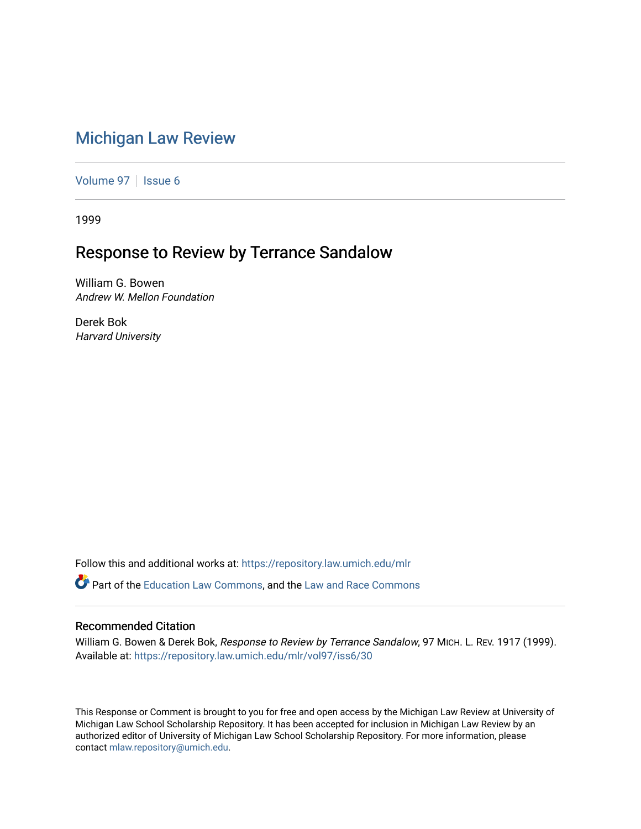## [Michigan Law Review](https://repository.law.umich.edu/mlr)

[Volume 97](https://repository.law.umich.edu/mlr/vol97) | [Issue 6](https://repository.law.umich.edu/mlr/vol97/iss6)

1999

## Response to Review by Terrance Sandalow

William G. Bowen Andrew W. Mellon Foundation

Derek Bok Harvard University

Follow this and additional works at: [https://repository.law.umich.edu/mlr](https://repository.law.umich.edu/mlr?utm_source=repository.law.umich.edu%2Fmlr%2Fvol97%2Fiss6%2F30&utm_medium=PDF&utm_campaign=PDFCoverPages) 

**C**<sup> $\bullet$ </sup> Part of the [Education Law Commons,](http://network.bepress.com/hgg/discipline/596?utm_source=repository.law.umich.edu%2Fmlr%2Fvol97%2Fiss6%2F30&utm_medium=PDF&utm_campaign=PDFCoverPages) and the Law and Race Commons

## Recommended Citation

William G. Bowen & Derek Bok, Response to Review by Terrance Sandalow, 97 MICH. L. REV. 1917 (1999). Available at: [https://repository.law.umich.edu/mlr/vol97/iss6/30](https://repository.law.umich.edu/mlr/vol97/iss6/30?utm_source=repository.law.umich.edu%2Fmlr%2Fvol97%2Fiss6%2F30&utm_medium=PDF&utm_campaign=PDFCoverPages) 

This Response or Comment is brought to you for free and open access by the Michigan Law Review at University of Michigan Law School Scholarship Repository. It has been accepted for inclusion in Michigan Law Review by an authorized editor of University of Michigan Law School Scholarship Repository. For more information, please contact [mlaw.repository@umich.edu](mailto:mlaw.repository@umich.edu).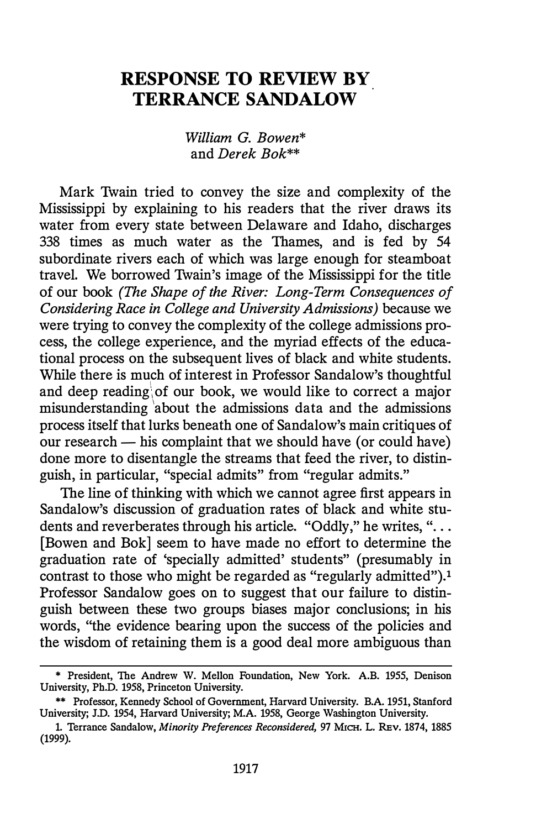## RESPONSE TO REVIEW BY TERRANCE SANDALOW

William G. Bowen\* and Derek Bok\*\*

Mark Twain tried to convey the size and complexity of the Mississippi by explaining to his readers that the river draws its water from every state between Delaware and Idaho, discharges 338 times as much water as the Thames, and is fed by 54 subordinate rivers each of which was large enough for steamboat travel. We borrowed Twain's image of the Mississippi for the title of our book (The Shape of the River: Long-Term Consequences of Considering Race in College and University Admissions) because we were trying to convey the complexity of the college admissions process, the college experience, and the myriad effects of the educational process on the subsequent lives of black and white students. While there is much of interest in Professor Sandalow's thoughtful and deep reading of our book, we would like to correct a major misunderstanding ' about the admissions data and the admissions process itself that lurks beneath one of Sandalow's main critiques of our research — his complaint that we should have (or could have) done more to disentangle the streams that feed the river, to distinguish, in particular, "special admits" from "regular admits."

The line of thinking with which we cannot agree first appears in Sandalow's discussion of graduation rates of black and white students and reverberates through his article. "Oddly," he writes, "... [Bowen and Bok] seem to have made no effort to determine the graduation rate of 'specially admitted' students" (presumably in contrast to those who might be regarded as "regularly admitted").1 Professor Sandalow goes on to suggest that our failure to distinguish between these two groups biases major conclusions; in his words, "the evidence bearing upon the success of the policies and the wisdom of retaining them is a good deal more ambiguous than

<sup>\*</sup> President, The Andrew W. Mellon Foundation, New York. A.B. 1955, Denison University, Ph.D. 1958, Princeton University.

<sup>\*\*</sup> Professor, Kennedy School of Government, Harvard University. B.A. 1951, Stanford University; J.D. 1954, Harvard University; M.A. 1958, George Washington University.

<sup>1.</sup> Terrance Sandalow, Minority Preferences Reconsidered, 97 MICH. L. REv. 1874, 1885 (1999).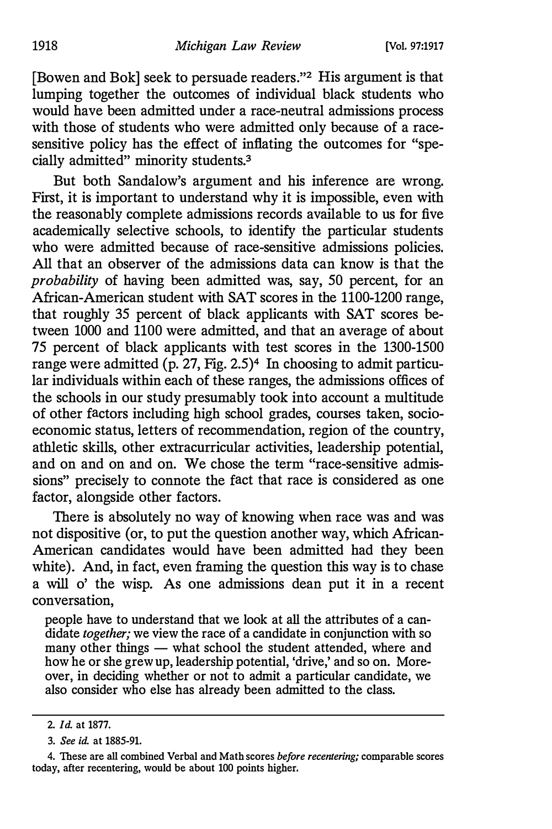[Bowen and Bok] seek to persuade readers."2 His argument is that lumping together the outcomes of individual black students who would have been admitted under a race-neutral admissions process with those of students who were admitted only because of a racesensitive policy has the effect of inflating the outcomes for "specially admitted" minority students.3

But both Sandalow's argument and his inference are wrong. First, it is important to understand why it is impossible, even with the reasonably complete admissions records available to us for five academically selective schools, to identify the particular students who were admitted because of race-sensitive admissions policies. All that an observer of the admissions data can know is that the probability of having been admitted was, say, 50 percent, for an African-American student with SAT scores in the 1100-1200 range, that roughly 35 percent of black applicants with SAT scores between 1000 and 1100 were admitted, and that an average of about 75 percent of black applicants with test scores in the 1300-1500 range were admitted (p. 27, Fig. 2.5)4 In choosing to admit particular individuals within each of these ranges, the admissions offices of the schools in our study presumably took into account a multitude of other factors including high school grades, courses taken, socioeconomic status, letters of recommendation, region of the country, athletic skills, other extracurricular activities, leadership potential, and on and on and on. We chose the term "race-sensitive admissions" precisely to connote the fact that race is considered as one factor, alongside other factors.

There is absolutely no way of knowing when race was and was not dispositive (or, to put the question another way, which African-American candidates would have been admitted had they been white). And, in fact, even framing the question this way is to chase a will o' the wisp. As one admissions dean put it in a recent conversation,

people have to understand that we look at all the attributes of a candidate *together*; we view the race of a candidate in conjunction with so many other things — what school the student attended, where and how he or she grew up, leadership potential, 'drive,' and so on. Moreover, in deciding whether or not to admit a particular candidate, we also consider who else has already been admitted to the class.

<sup>2.</sup> Id. at 1877.

<sup>3.</sup> See id. at 1885-91.

<sup>4.</sup> These are all combined Verbal and Math scores before recentering; comparable scores today, after recentering, would be about 100 points higher.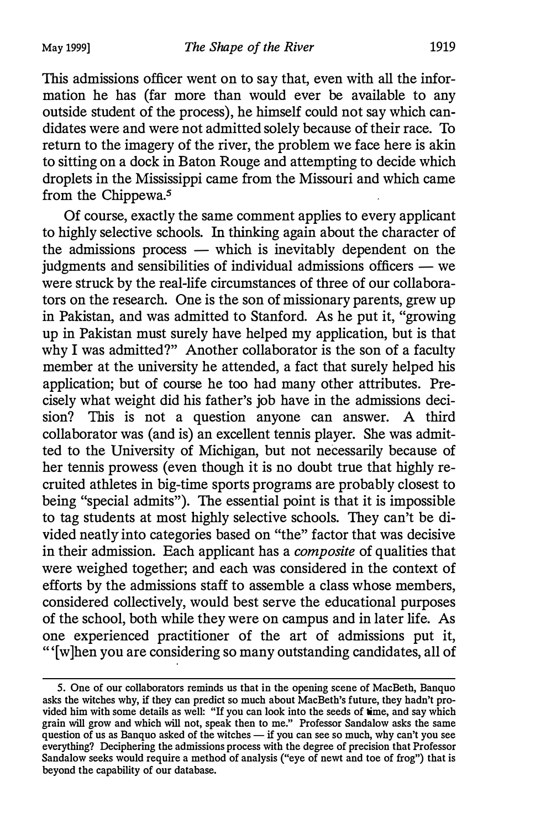This admissions officer went on to say that, even with all the information he has (far more than would ever be available to any outside student of the process), he himself could not say which candidates were and were not admitted solely because of their race. To return to the imagery of the river, the problem we face here is akin to sitting on a dock in Baton Rouge and attempting to decide which droplets in the Mississippi came from the Missouri and which came from the Chippewa.<sup>5</sup>

Of course, exactly the same comment applies to every applicant to highly selective schools. In thinking again about the character of the admissions process  $-$  which is inevitably dependent on the judgments and sensibilities of individual admissions officers — we were struck by the real-life circumstances of three of our collaborators on the research. One is the son of missionary parents, grew up in Pakistan, and was admitted to Stanford. As he put it, "growing up in Pakistan must surely have helped my application, but is that why I was admitted?" Another collaborator is the son of a faculty member at the university he attended, a fact that surely helped his application; but of course he too had many other attributes. Precisely what weight did his father's job have in the admissions decision? This is not a question anyone can answer. A third collaborator was (and is) an excellent tennis player. She was admitted to the University of Michigan, but not necessarily because of her tennis prowess (even though it is no doubt true that highly recruited athletes in big-time sports programs are probably closest to being "special admits"). The essential point is that it is impossible to tag students at most highly selective schools. They can't be divided neatly into categories based on "the" factor that was decisive in their admission. Each applicant has a composite of qualities that were weighed together; and each was considered in the context of efforts by the admissions staff to assemble a class whose members, considered collectively, would best serve the educational purposes of the school, both while they were on campus and in later life. As one experienced practitioner of the art of admissions put it, " '[w]hen you are considering so many outstanding candidates, all of

<sup>5.</sup> One of our collaborators reminds us that in the opening scene of MacBeth, Banquo asks the witches why, if they can predict so much about MacBeth's future, they hadn't provided him with some details as well: "If you can look into the seeds of time, and say which grain will grow and which will not, speak then to me." Professor Sandalow asks the same question of us as Banquo asked of the witches  $-$  if you can see so much, why can't you see everything? Deciphering the admissions process with the degree of precision that Professor Sandalow seeks would require a method of analysis ("eye of newt and toe of frog") that is beyond the capability of our database.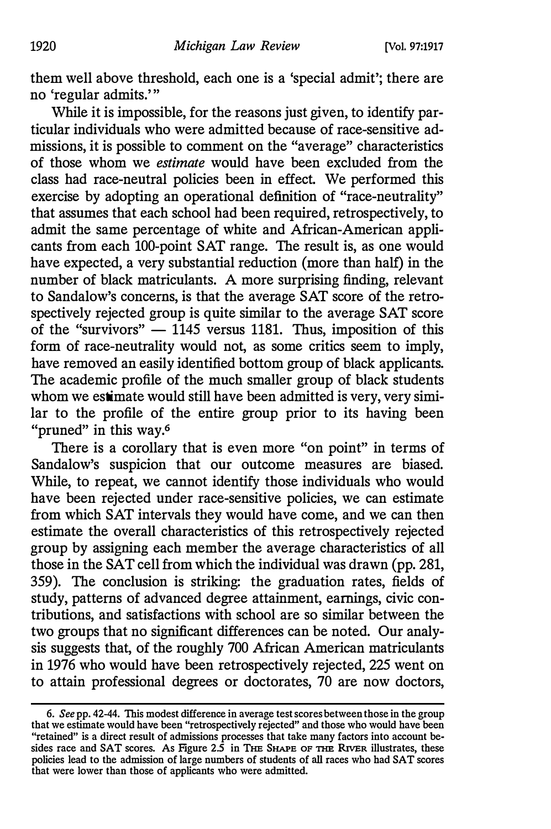them well above threshold, each one is a 'special admit'; there are no 'regular admits.'"

While it is impossible, for the reasons just given, to identify particular individuals who were admitted because of race-sensitive admissions, it is possible to comment on the "average" characteristics of those whom we estimate would have been excluded from the class had race-neutral policies been in effect. We performed this exercise by adopting an operational definition of "race-neutrality" that assumes that each school had been required, retrospectively, to admit the same percentage of white and African-American applicants from each 100-point SAT range. The result is, as one would have expected, a very substantial reduction (more than half) in the number of black matriculants. A more surprising finding, relevant to Sandalow's concerns, is that the average SAT score of the retrospectively rejected group is quite similar to the average SAT score of the "survivors"  $-$  1145 versus 1181. Thus, imposition of this form of race-neutrality would not, as some critics seem to imply, have removed an easily identified bottom group of black applicants. The academic profile of the much smaller group of black students whom we estimate would still have been admitted is very, very similar to the profile of the entire group prior to its having been "pruned" in this way.<sup>6</sup>

There is a corollary that is even more "on point" in terms of Sandalow's suspicion that our outcome measures are biased. While, to repeat, we cannot identify those individuals who would have been rejected under race-sensitive policies, we can estimate from which SAT intervals they would have come, and we can then estimate the overall characteristics of this retrospectively rejected group by assigning each member the average characteristics of all those in the SAT cell from which the individual was drawn (pp. 281, 359). The conclusion is striking: the graduation rates, fields of study, patterns of advanced degree attainment, earnings, civic contributions, and satisfactions with school are so similar between the two groups that no significant differences can be noted. Our analysis suggests that, of the roughly 700 African American matriculants in 1976 who would have been retrospectively rejected, 225 went on to attain professional degrees or doctorates, 70 are now doctors,

<sup>6.</sup> See pp. 42-44. This modest difference in average test scores between those in the group that we estimate would have been "retrospectively rejected" and those who would have been "retained" is a direct result of admissions processes that take many factors into account be· sides race and SAT scores. As Figure 2.5 in THE SHAPE OF THE RIVER illustrates, these policies lead to the admission of large numbers of students of all races who had SAT scores that were lower than those of applicants who were admitted.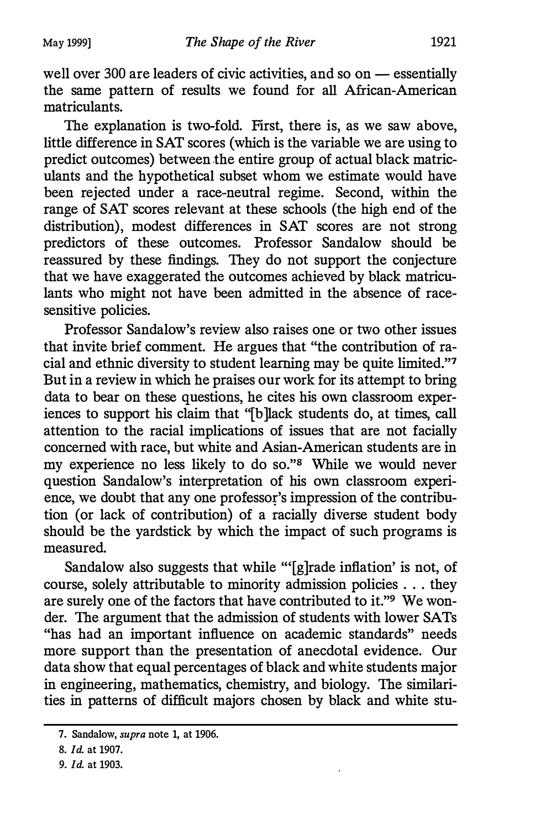well over  $300$  are leaders of civic activities, and so on  $-$  essentially the same pattern of results we found for all African-American matriculants.

The explanation is two-fold. First, there is, as we saw above, little difference in SAT scores (which is the variable we are using to predict outcomes) between the entire group of actual black matriculants and the hypothetical subset whom we estimate would have been rejected under a race-neutral regime. Second, within the range of SAT scores relevant at these schools (the high end of the distribution), modest differences in SAT scores are not strong predictors of these outcomes. Professor Sandalow should be reassured by these findings. They do not support the conjecture that we have exaggerated the outcomes achieved by black matriculants who might not have been admitted in the absence of racesensitive policies.

Professor Sandalow's review also raises one or two other issues that invite brief comment. He argues that "the contribution of racial and ethnic diversity to student learning may be quite limited."7 But in a review in which he praises our work for its attempt to bring data to bear on these questions, he cites his own classroom experiences to support his claim that "[b ]lack students do, at times, call attention to the racial implications of issues that are not facially concerned with race, but white and Asian-American students are in my experience no less likely to do so."8 While we would never question Sandalow's interpretation of his own classroom experience, we doubt that any one professor's impression of the contribution (or lack of contribution) of a racially diverse student body should be the yardstick by which the impact of such programs is measured.

Sandalow also suggests that while "'[g]rade inflation' is not, of course, solely attributable to minority admission policies . . . they are surely one of the factors that have contributed to it."<sup>9</sup> We wonder. The argument that the admission of students with lower SATs "has had an important influence on academic standards" needs more support than the presentation of anecdotal evidence. Our data show that equal percentages of black and white students major in engineering, mathematics, chemistry, and biology. The similarities in patterns of difficult majors chosen by black and white stu-

<sup>7.</sup> Sandalow, supra note 1, at 1906.

<sup>8.</sup> Id. at 1907.

<sup>9.</sup> Id. at 1903.